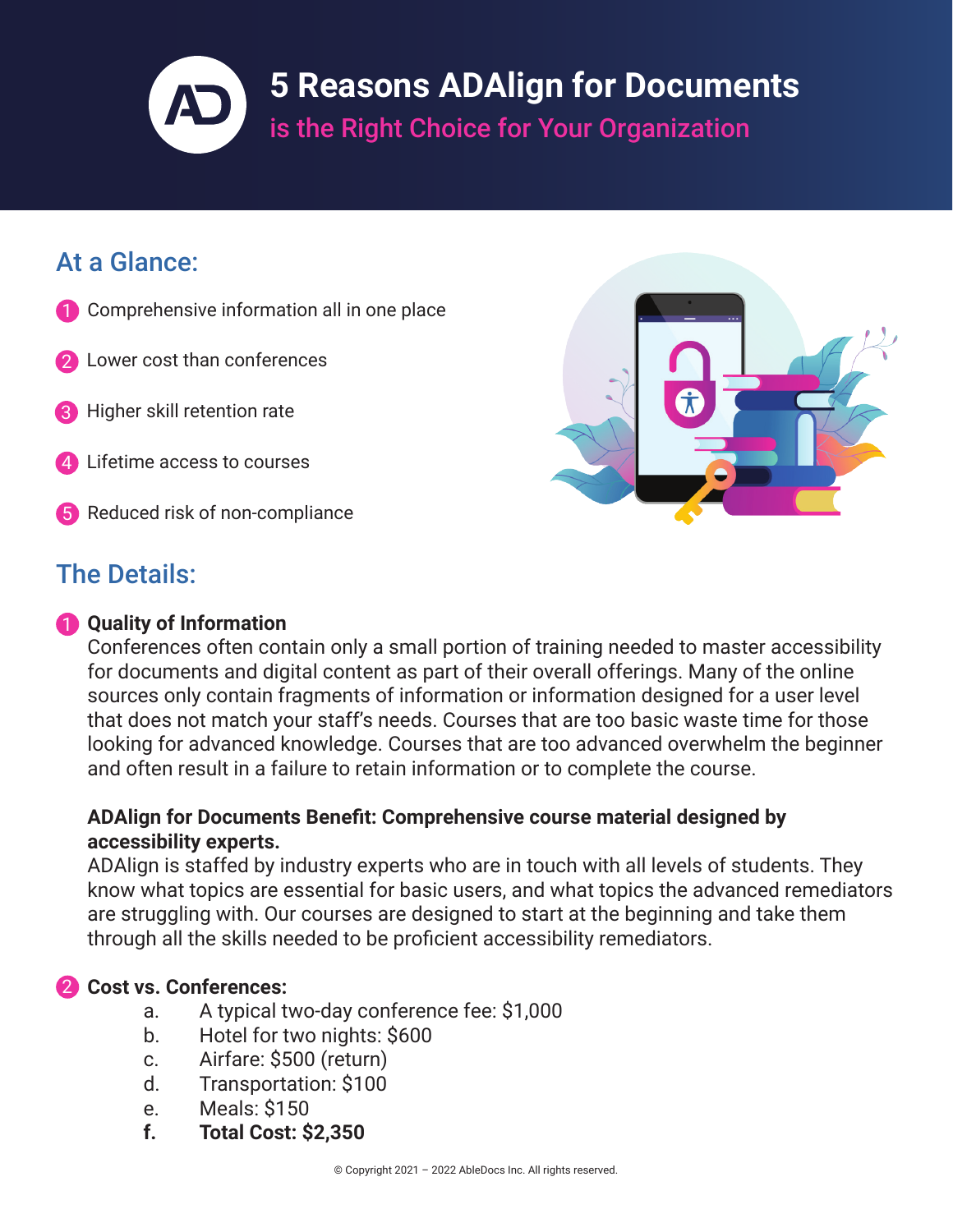# **5 Reasons ADAlign for Documents**  is the Right Choice for Your Organization

# At a Glance:

- 1 Comprehensive information all in one place
- Lower cost than conferences
- Higher skill retention rate
- Lifetime access to courses
- 5 Reduced risk of non-compliance

## The Details:

### 1 **Quality of Information**

Conferences often contain only a small portion of training needed to master accessibility for documents and digital content as part of their overall offerings. Many of the online sources only contain fragments of information or information designed for a user level that does not match your staff's needs. Courses that are too basic waste time for those looking for advanced knowledge. Courses that are too advanced overwhelm the beginner and often result in a failure to retain information or to complete the course.

#### **ADAlign for Documents Benefit: Comprehensive course material designed by accessibility experts.**

ADAlign is staffed by industry experts who are in touch with all levels of students. They know what topics are essential for basic users, and what topics the advanced remediators are struggling with. Our courses are designed to start at the beginning and take them through all the skills needed to be proficient accessibility remediators.

### 2 **Cost vs. Conferences:**

- a. A typical two-day conference fee: \$1,000
- b. Hotel for two nights: \$600
- c. Airfare: \$500 (return)
- d. Transportation: \$100
- e. Meals: \$150
- **f. Total Cost: \$2,350**